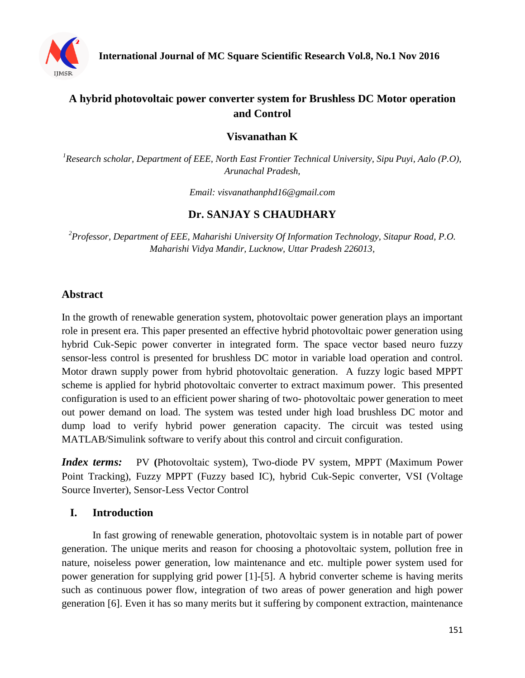

# **A hybrid photovoltaic power converter system for Brushless DC Motor operation and Control**

**Visvanathan K**

*<sup>1</sup>Research scholar, Department of EEE, North East Frontier Technical University, Sipu Puyi, Aalo (P.O), Arunachal Pradesh,*

*Email: [visvanathanphd16@gmail.com](mailto:visvanathanphd16@gmail.com)*

## **Dr. SANJAY S CHAUDHARY**

*<sup>2</sup>Professor, Department of EEE, Maharishi University Of Information Technology, Sitapur Road, P.O. Maharishi Vidya Mandir, Lucknow, Uttar Pradesh 226013,*

## **Abstract**

In the growth of renewable generation system, photovoltaic power generation plays an important role in present era. This paper presented an effective hybrid photovoltaic power generation using hybrid Cuk-Sepic power converter in integrated form. The space vector based neuro fuzzy sensor-less control is presented for brushless DC motor in variable load operation and control. Motor drawn supply power from hybrid photovoltaic generation. A fuzzy logic based MPPT scheme is applied for hybrid photovoltaic converter to extract maximum power. This presented configuration is used to an efficient power sharing of two- photovoltaic power generation to meet out power demand on load. The system was tested under high load brushless DC motor and dump load to verify hybrid power generation capacity. The circuit was tested using MATLAB/Simulink software to verify about this control and circuit configuration.

*Index terms:* PV (Photovoltaic system), Two-diode PV system, MPPT (Maximum Power) Point Tracking), Fuzzy MPPT (Fuzzy based IC), hybrid Cuk-Sepic converter, VSI (Voltage Source Inverter), Sensor-Less Vector Control

## **I. Introduction**

In fast growing of renewable generation, photovoltaic system is in notable part of power generation. The unique merits and reason for choosing a photovoltaic system, pollution free in nature, noiseless power generation, low maintenance and etc. multiple power system used for power generation for supplying grid power [1]-[5]. A hybrid converter scheme is having merits such as continuous power flow, integration of two areas of power generation and high power generation [6]. Even it has so many merits but it suffering by component extraction, maintenance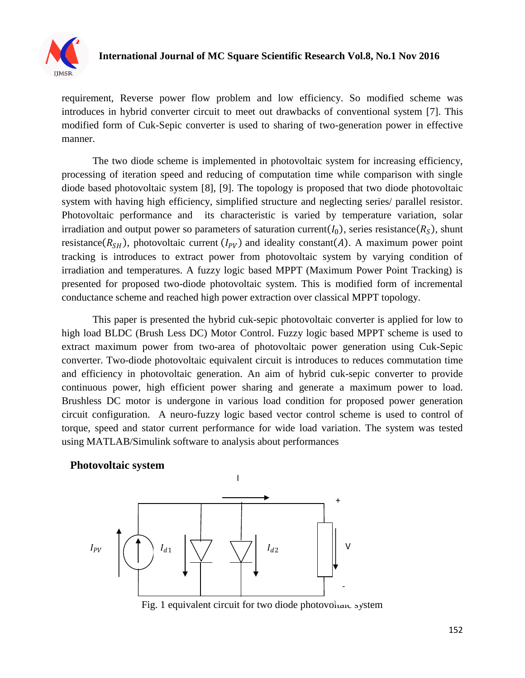

requirement, Reverse power flow problem and low efficiency. So modified scheme was introduces in hybrid converter circuit to meet out drawbacks of conventional system [7]. This modified form of Cuk-Sepic converter is used to sharing of two-generation power in effective manner.

The two diode scheme is implemented in photovoltaic system for increasing efficiency, processing of iteration speed and reducing of computation time while comparison with single diode based photovoltaic system [8], [9]. The topology is proposed that two diode photovoltaic system with having high efficiency, simplified structure and neglecting series/ parallel resistor. Photovoltaic performance and its characteristic is varied by temperature variation, solar irradiation and output power so parameters of saturation current( $I_0$ ), series resistance( $R_S$ ), shunt resistance  $(R_{SH})$ , photovoltaic current  $(I_{PV})$  and ideality constant  $(A)$ . A maximum power point tracking is introduces to extract power from photovoltaic system by varying condition of irradiation and temperatures. A fuzzy logic based MPPT (Maximum Power Point Tracking) is presented for proposed two-diode photovoltaic system. This is modified form of incremental conductance scheme and reached high power extraction over classical MPPT topology.

This paper is presented the hybrid cuk-sepic photovoltaic converter is applied for low to high load BLDC (Brush Less DC) Motor Control. Fuzzy logic based MPPT scheme is used to extract maximum power from two-area of photovoltaic power generation using Cuk-Sepic converter. Two-diode photovoltaic equivalent circuit is introduces to reduces commutation time and efficiency in photovoltaic generation. An aim of hybrid cuk-sepic converter to provide continuous power, high efficient power sharing and generate a maximum power to load. Brushless DC motor is undergone in various load condition for proposed power generation circuit configuration. A neuro-fuzzy logic based vector control scheme is used to control of torque, speed and stator current performance for wide load variation. The system was tested using MATLAB/Simulink software to analysis about performances

#### **Photovoltaic system**



Fig. 1 equivalent circuit for two diode photovolume system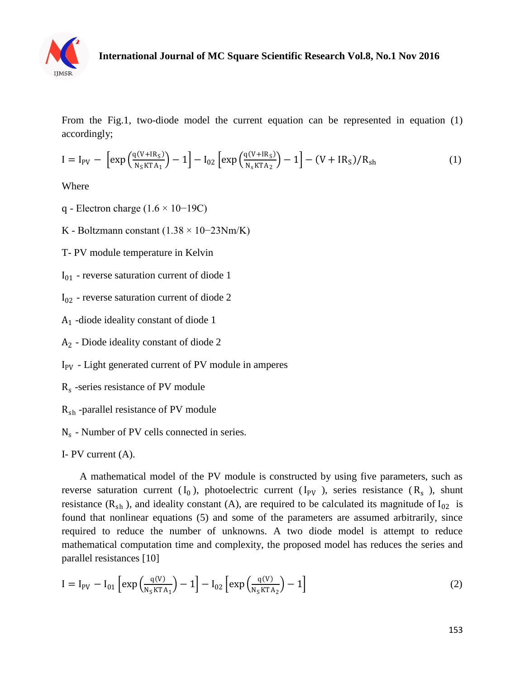

From the Fig.1, two-diode model the current equation can be represented in equation (1) accordingly;

$$
I = I_{PV} - \left[ exp\left(\frac{q(V + IR_S)}{N_S K T A_1}\right) - 1 \right] - I_{02} \left[ exp\left(\frac{q(V + IR_S)}{N_S K T A_2}\right) - 1 \right] - (V + IR_S)/R_{sh}
$$
(1)

Where

- q Electron charge (1.6 × 10−19C)
- K Boltzmann constant (1.38 × 10−23Nm/K)
- T- PV module temperature in Kelvin
- $I_{01}$  reverse saturation current of diode 1
- $I_{02}$  reverse saturation current of diode 2
- A1 -diode ideality constant of diode 1
- A2 Diode ideality constant of diode 2
- $I_{PV}$  Light generated current of PV module in amperes
- Rs -series resistance of PV module
- R<sub>sh</sub>-parallel resistance of PV module
- $N_s$  Number of PV cells connected in series.

I- PV current (A).

 A mathematical model of the PV module is constructed by using five parameters, such as reverse saturation current  $(I_0)$ , photoelectric current  $(I_{PV}$ ), series resistance  $(R_s)$ , shunt resistance  $(R_{sh})$ , and ideality constant (A), are required to be calculated its magnitude of  $I_{02}$  is found that nonlinear equations (5) and some of the parameters are assumed arbitrarily, since required to reduce the number of unknowns. A two diode model is attempt to reduce mathematical computation time and complexity, the proposed model has reduces the series and parallel resistances [10]

$$
I = I_{PV} - I_{01} \left[ exp\left(\frac{q(V)}{N_S K T A_1}\right) - 1 \right] - I_{02} \left[ exp\left(\frac{q(V)}{N_S K T A_2}\right) - 1 \right]
$$
 (2)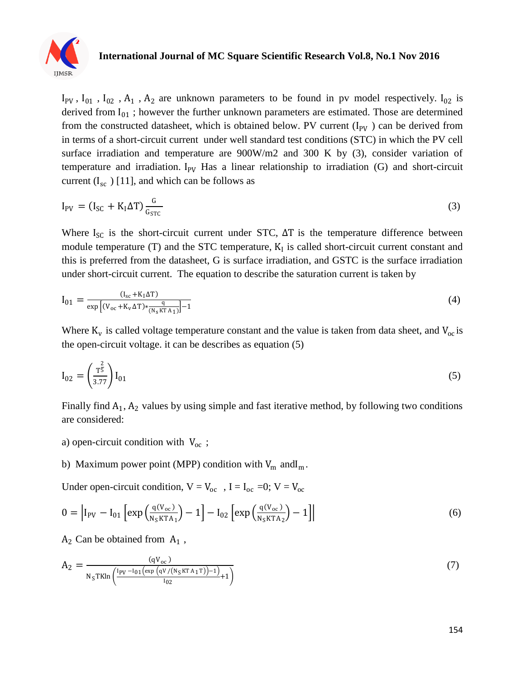

 $I_{PV}$ ,  $I_{01}$ ,  $I_{02}$ ,  $A_1$ ,  $A_2$  are unknown parameters to be found in pv model respectively.  $I_{02}$  is derived from  $I_{01}$ ; however the further unknown parameters are estimated. Those are determined from the constructed datasheet, which is obtained below. PV current  $(I_{PV})$  can be derived from in terms of a short-circuit current under well standard test conditions (STC) in which the PV cell surface irradiation and temperature are 900W/m2 and 300 K by (3), consider variation of temperature and irradiation. I<sub>PV</sub> Has a linear relationship to irradiation (G) and short-circuit current  $(I_{sc} )$  [11], and which can be follows as

$$
I_{\rm PV} = (I_{\rm SC} + K_{\rm I} \Delta T) \frac{G}{G_{\rm STC}} \tag{3}
$$

Where  $I_{SC}$  is the short-circuit current under STC,  $\Delta T$  is the temperature difference between module temperature  $(T)$  and the STC temperature,  $K_I$  is called short-circuit current constant and this is preferred from the datasheet, G is surface irradiation, and GSTC is the surface irradiation under short-circuit current. The equation to describe the saturation current is taken by

$$
I_{01} = \frac{(I_{sc} + K_1 \Delta T)}{\exp\left[(V_{oc} + K_v \Delta T) * \frac{q}{(N_s K T A_1)}\right] - 1}
$$
(4)

Where  $K_v$  is called voltage temperature constant and the value is taken from data sheet, and  $V_{oc}$  is the open-circuit voltage. it can be describes as equation (5)

$$
I_{02} = \left(\frac{T^{\frac{2}{5}}}{3.77}\right)I_{01} \tag{5}
$$

Finally find  $A_1$ ,  $A_2$  values by using simple and fast iterative method, by following two conditions are considered:

a) open-circuit condition with  $V_{oc}$ ;

#### b) Maximum power point (MPP) condition with  $V_m$  and  $I_m$ .

Under open-circuit condition,  $V = V_{oc}$ ,  $I = I_{oc} = 0$ ;  $V = V_{oc}$ 

$$
0 = |I_{PV} - I_{01} \left[ exp\left(\frac{q(V_{oc})}{N_S K T A_1}\right) - 1\right] - I_{02} \left[ exp\left(\frac{q(V_{oc})}{N_S K T A_2}\right) - 1\right]|
$$
\n(6)

 $A_2$  Can be obtained from  $A_1$ ,

$$
A_2 = \frac{(qV_{oc})}{N_S T K ln \left(\frac{1pv - I_{01} (exp (qv/(N_S K T A_1 T)) - 1)}{I_{02}} + 1\right)}
$$
(7)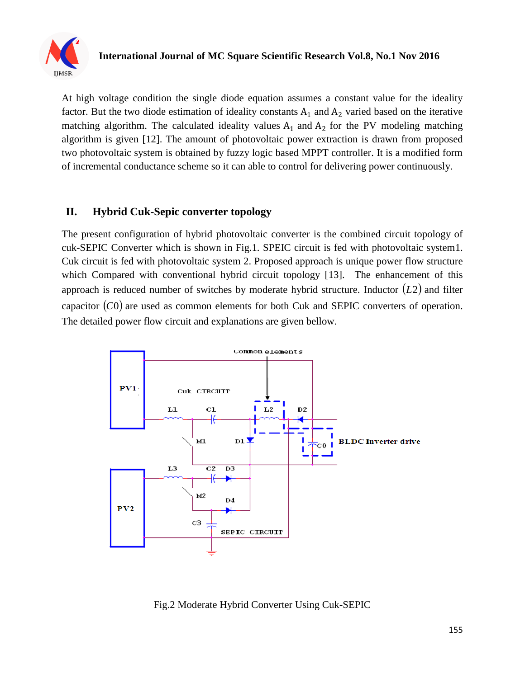

At high voltage condition the single diode equation assumes a constant value for the ideality factor. But the two diode estimation of ideality constants  $A_1$  and  $A_2$  varied based on the iterative matching algorithm. The calculated ideality values  $A_1$  and  $A_2$  for the PV modeling matching algorithm is given [12]. The amount of photovoltaic power extraction is drawn from proposed two photovoltaic system is obtained by fuzzy logic based MPPT controller. It is a modified form of incremental conductance scheme so it can able to control for delivering power continuously.

# **II. Hybrid Cuk-Sepic converter topology**

The present configuration of hybrid photovoltaic converter is the combined circuit topology of cuk-SEPIC Converter which is shown in Fig.1. SPEIC circuit is fed with photovoltaic system1. Cuk circuit is fed with photovoltaic system 2. Proposed approach is unique power flow structure which Compared with conventional hybrid circuit topology [13]. The enhancement of this approach is reduced number of switches by moderate hybrid structure. Inductor (L2) and filter capacitor  $(C0)$  are used as common elements for both Cuk and SEPIC converters of operation. The detailed power flow circuit and explanations are given bellow.



Fig.2 Moderate Hybrid Converter Using Cuk-SEPIC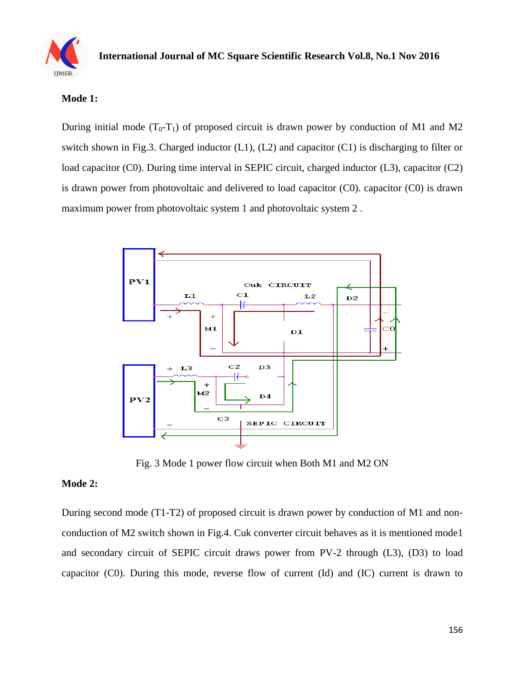

#### **Mode 1:**

During initial mode  $(T_0-T_1)$  of proposed circuit is drawn power by conduction of M1 and M2 switch shown in Fig.3. Charged inductor (L1), (L2) and capacitor (C1) is discharging to filter or load capacitor (C0). During time interval in SEPIC circuit, charged inductor (L3), capacitor (C2) is drawn power from photovoltaic and delivered to load capacitor (C0). capacitor (C0) is drawn maximum power from photovoltaic system 1 and photovoltaic system 2 .



Fig. 3 Mode 1 power flow circuit when Both M1 and M2 ON

#### **Mode 2:**

During second mode (T1-T2) of proposed circuit is drawn power by conduction of M1 and nonconduction of M2 switch shown in Fig.4. Cuk converter circuit behaves as it is mentioned mode1 and secondary circuit of SEPIC circuit draws power from PV-2 through (L3), (D3) to load capacitor (C0). During this mode, reverse flow of current (Id) and (IC) current is drawn to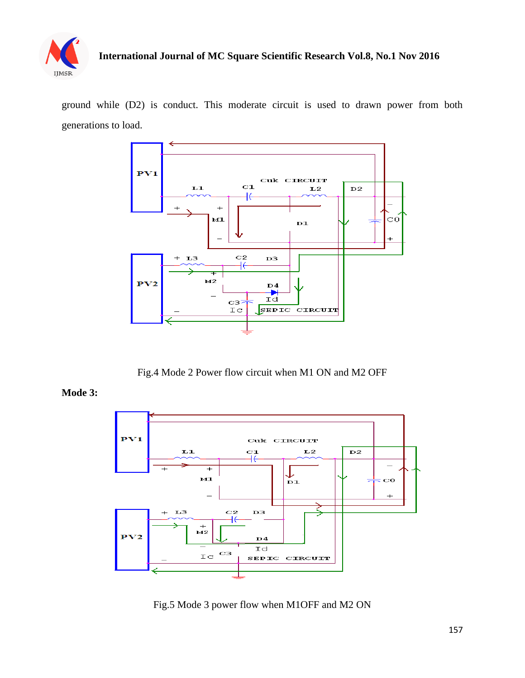

ground while (D2) is conduct. This moderate circuit is used to drawn power from both generations to load.



Fig.4 Mode 2 Power flow circuit when M1 ON and M2 OFF

**Mode 3:**



Fig.5 Mode 3 power flow when M1OFF and M2 ON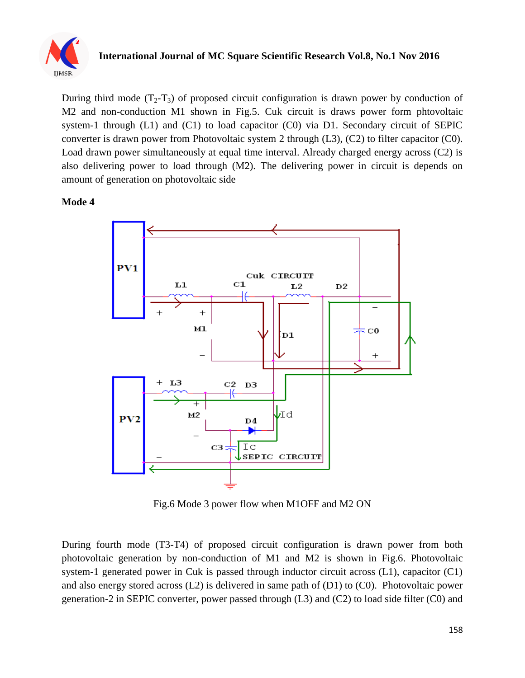

During third mode  $(T_2-T_3)$  of proposed circuit configuration is drawn power by conduction of M2 and non-conduction M1 shown in Fig.5. Cuk circuit is draws power form phtovoltaic system-1 through (L1) and (C1) to load capacitor (C0) via D1. Secondary circuit of SEPIC converter is drawn power from Photovoltaic system 2 through (L3), (C2) to filter capacitor (C0). Load drawn power simultaneously at equal time interval. Already charged energy across (C2) is also delivering power to load through (M2). The delivering power in circuit is depends on amount of generation on photovoltaic side

#### **Mode 4**



Fig.6 Mode 3 power flow when M1OFF and M2 ON

During fourth mode (T3-T4) of proposed circuit configuration is drawn power from both photovoltaic generation by non-conduction of M1 and M2 is shown in Fig.6. Photovoltaic system-1 generated power in Cuk is passed through inductor circuit across (L1), capacitor (C1) and also energy stored across (L2) is delivered in same path of (D1) to (C0). Photovoltaic power generation-2 in SEPIC converter, power passed through (L3) and (C2) to load side filter (C0) and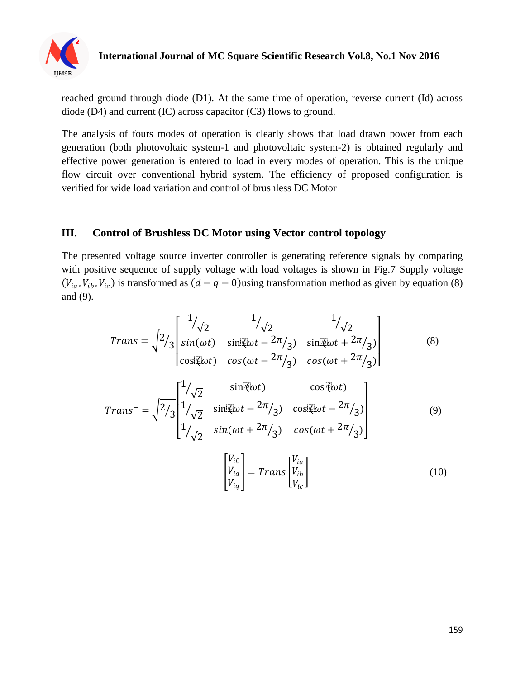

reached ground through diode (D1). At the same time of operation, reverse current (Id) across diode (D4) and current (IC) across capacitor (C3) flows to ground.

The analysis of fours modes of operation is clearly shows that load drawn power from each generation (both photovoltaic system-1 and photovoltaic system-2) is obtained regularly and effective power generation is entered to load in every modes of operation. This is the unique flow circuit over conventional hybrid system. The efficiency of proposed configuration is verified for wide load variation and control of brushless DC Motor

## **III. Control of Brushless DC Motor using Vector control topology**

The presented voltage source inverter controller is generating reference signals by comparing with positive sequence of supply voltage with load voltages is shown in Fig.7 Supply voltage  $(V_{ia}, V_{ib}, V_{ic})$  is transformed as  $(d - q - 0)$ using transformation method as given by equation (8) and (9).

$$
Trans = \sqrt{\frac{2}{3}} \begin{bmatrix} 1/\sqrt{2} & 1/\sqrt{2} & 1/\sqrt{2} \\ sin(\omega t) & sin(\omega t - 2\pi/3) & sin(\omega t + 2\pi/3) \\ cos(\omega t) & cos(\omega t - 2\pi/3) & cos(\omega t + 2\pi/3) \end{bmatrix}
$$
(8)

$$
Trans^{-} = \sqrt{\frac{2}{3}} \begin{bmatrix} 1/\sqrt{2} & \sin(\omega t) & \cos(\omega t) \\ 1/\sqrt{2} & \sin(\omega t - 2\pi/3) & \cos(\omega t - 2\pi/3) \\ 1/\sqrt{2} & \sin(\omega t + 2\pi/3) & \cos(\omega t + 2\pi/3) \end{bmatrix}
$$
(9)

$$
\begin{bmatrix} V_{i0} \\ V_{id} \\ V_{iq} \end{bmatrix} = Trans \begin{bmatrix} V_{ia} \\ V_{ib} \\ V_{ic} \end{bmatrix}
$$
 (10)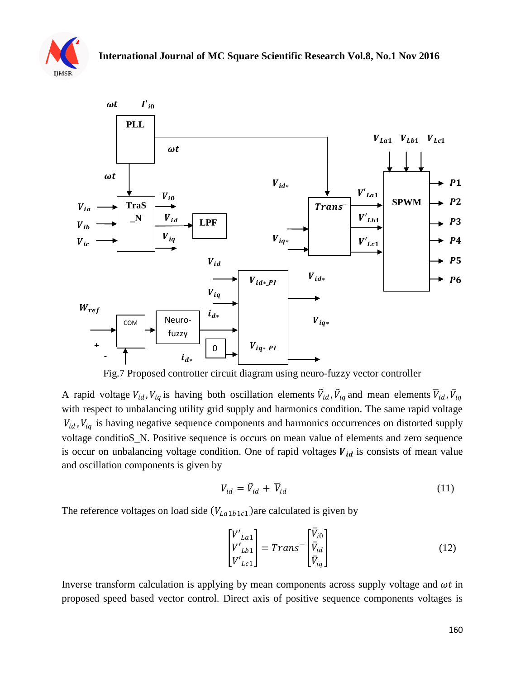



Fig.7 Proposed controller circuit diagram using neuro-fuzzy vector controller

A rapid voltage  $V_{id}$ ,  $V_{iq}$  is having both oscillation elements  $\tilde{V}_{id}$ ,  $\tilde{V}_{iq}$  and mean elements  $\overline{V}_{id}$ ,  $\overline{V}_{iq}$ with respect to unbalancing utility grid supply and harmonics condition. The same rapid voltage  $V_{id}$ ,  $V_{iq}$  is having negative sequence components and harmonics occurrences on distorted supply voltage conditioS\_N. Positive sequence is occurs on mean value of elements and zero sequence is occur on unbalancing voltage condition. One of rapid voltages  $V_{id}$  is consists of mean value and oscillation components is given by

$$
V_{id} = \tilde{V}_{id} + \overline{V}_{id} \tag{11}
$$

The reference voltages on load side  $(V_{La1b1c1})$  are calculated is given by

$$
\begin{bmatrix} V'_{La1} \\ V'_{Lb1} \\ V'_{Lc1} \end{bmatrix} = Trans^{-} \begin{bmatrix} \bar{V}_{i0} \\ \bar{V}_{id} \\ \bar{V}_{iq} \end{bmatrix}
$$
 (12)

Inverse transform calculation is applying by mean components across supply voltage and  $\omega t$  in proposed speed based vector control. Direct axis of positive sequence components voltages is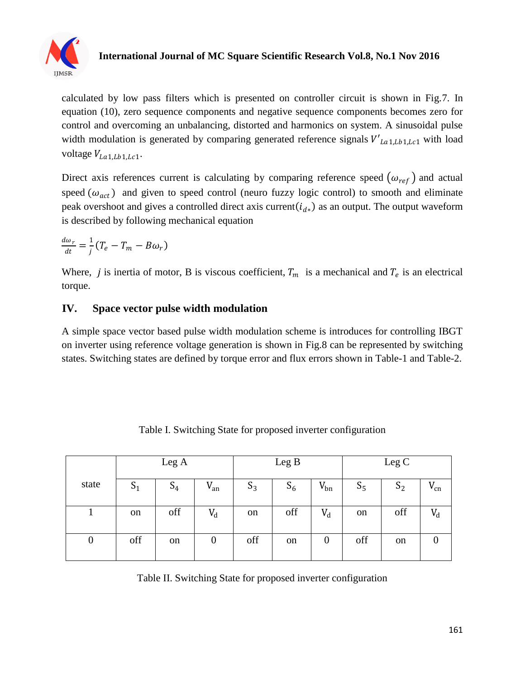

calculated by low pass filters which is presented on controller circuit is shown in Fig.7. In equation (10), zero sequence components and negative sequence components becomes zero for control and overcoming an unbalancing, distorted and harmonics on system. A sinusoidal pulse width modulation is generated by comparing generated reference signals  $V'_{La1,Lb1,Lc1}$  with load voltage  $V_{La1,Lb1,Lc1}$ .

Direct axis references current is calculating by comparing reference speed  $(\omega_{ref})$  and actual speed  $(\omega_{act})$  and given to speed control (neuro fuzzy logic control) to smooth and eliminate peak overshoot and gives a controlled direct axis current  $(i_{d*})$  as an output. The output waveform is described by following mechanical equation

$$
\frac{d\omega_r}{dt} = \frac{1}{j}(T_e - T_m - B\omega_r)
$$

Where, *j* is inertia of motor, B is viscous coefficient,  $T_m$  is a mechanical and  $T_e$  is an electrical torque.

## **IV. Space vector pulse width modulation**

A simple space vector based pulse width modulation scheme is introduces for controlling IBGT on inverter using reference voltage generation is shown in Fig.8 can be represented by switching states. Switching states are defined by torque error and flux errors shown in Table-1 and Table-2.

|                  |       | Leg A |                  |       | Leg B |          |       | Leg C |          |
|------------------|-------|-------|------------------|-------|-------|----------|-------|-------|----------|
| state            | $S_1$ | $S_4$ | $V_{an}$         | $S_3$ | $S_6$ | $V_{bn}$ | $S_5$ | $S_2$ | $v_{cn}$ |
|                  | on    | off   | $V_d$            | on    | off   | $V_d$    | on    | off   | $V_d$    |
| $\boldsymbol{0}$ | off   | on    | $\boldsymbol{0}$ | off   | on    | 0        | off   | on    |          |

Table I. Switching State for proposed inverter configuration

Table II. Switching State for proposed inverter configuration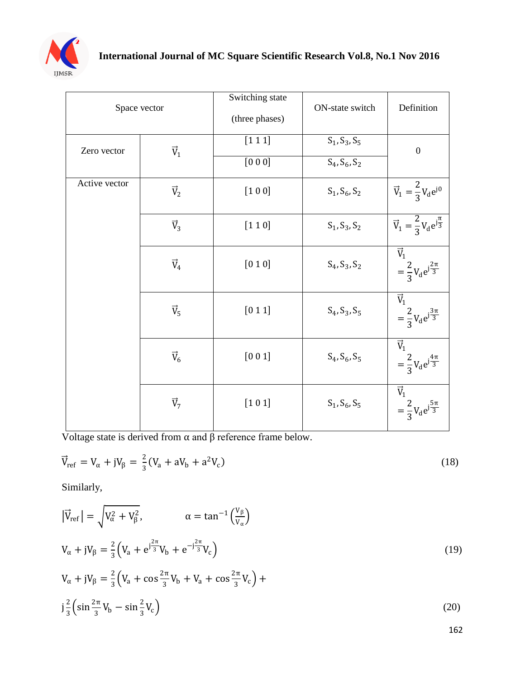

| Space vector  |             | Switching state | ON-state switch       | Definition                                                              |  |
|---------------|-------------|-----------------|-----------------------|-------------------------------------------------------------------------|--|
|               |             | (three phases)  |                       |                                                                         |  |
| Zero vector   | $\vec{V}_1$ | [1 1 1]         | $S_1, S_3, S_5$       | $\overline{0}$                                                          |  |
|               |             | $[0\ 0\ 0]$     | $S_4, S_6, S_2$       |                                                                         |  |
| Active vector | $\vec{V}_2$ | [1 0 0]         | $S_1, S_6, S_2$       | $\vec{V}_1 = \frac{2}{3} V_d e^{j0}$                                    |  |
|               | $\vec{V}_3$ | [1 1 0]         | $S_1, S_3, S_2$       | $\vec{V}_1 = \frac{2}{3} V_d e^{j\frac{\pi}{3}}$                        |  |
|               | $\vec{V}_4$ | $[0 1 0]$       | $S_4, S_3, S_2$       | $\vec{V}_1$<br>$=\frac{2}{3}V_{d}e^{j\frac{2\pi}{3}}$                   |  |
|               | $\vec{V}_5$ | [0 1 1]         | $S_4, S_3, S_5$       | $\overrightarrow{\text{V}}_1$<br>$=\frac{2}{3}V_{d}e^{j\frac{3\pi}{3}}$ |  |
|               | $\vec{V}_6$ | $[0\ 0\ 1]$     | $S_4$ , $S_6$ , $S_5$ | $\overrightarrow{V}_1$<br>$=\frac{2}{3}V_{d}e^{j\frac{4\pi}{3}}$        |  |
|               | $\vec{V}_7$ | $[101]$         | $S_1, S_6, S_5$       | $\vec{V}_1$<br>$=\frac{2}{3}V_{d}e^{j\frac{5\pi}{3}}$                   |  |

Voltage state is derived from  $\alpha$  and  $\beta$  reference frame below.

$$
\vec{V}_{ref} = V_{\alpha} + jV_{\beta} = \frac{2}{3}(V_{a} + aV_{b} + a^{2}V_{c})
$$
\n(18)

Similarly,

$$
\left| \vec{V}_{ref} \right| = \sqrt{V_{\alpha}^2 + V_{\beta}^2}, \qquad \alpha = \tan^{-1} \left( \frac{V_{\beta}}{V_{\alpha}} \right)
$$
  
\n
$$
V_{\alpha} + jV_{\beta} = \frac{2}{3} \left( V_a + e^{j\frac{2\pi}{3}} V_b + e^{-j\frac{2\pi}{3}} V_c \right)
$$
  
\n
$$
V_{\alpha} + jV_{\beta} = \frac{2}{3} \left( V_a + \cos \frac{2\pi}{3} V_b + V_a + \cos \frac{2\pi}{3} V_c \right) +
$$
  
\n
$$
j\frac{2}{3} \left( \sin \frac{2\pi}{3} V_b - \sin \frac{2}{3} V_c \right)
$$
\n(20)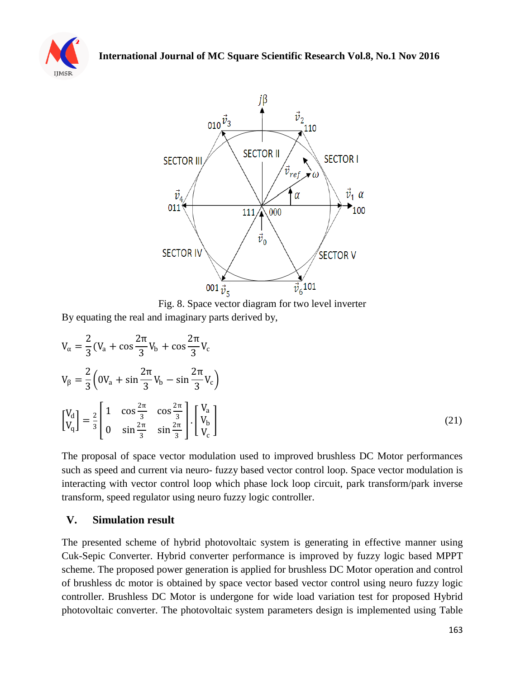



Fig. 8. Space vector diagram for two level inverter By equating the real and imaginary parts derived by,

$$
V_{\alpha} = \frac{2}{3} (V_a + \cos \frac{2\pi}{3} V_b + \cos \frac{2\pi}{3} V_c
$$
  
\n
$$
V_{\beta} = \frac{2}{3} \left( 0V_a + \sin \frac{2\pi}{3} V_b - \sin \frac{2\pi}{3} V_c \right)
$$
  
\n
$$
\begin{bmatrix} V_d \\ V_q \end{bmatrix} = \frac{2}{3} \begin{bmatrix} 1 & \cos \frac{2\pi}{3} & \cos \frac{2\pi}{3} \\ 0 & \sin \frac{2\pi}{3} & \sin \frac{2\pi}{3} \end{bmatrix} \cdot \begin{bmatrix} V_a \\ V_b \\ V_c \end{bmatrix}
$$
 (21)

The proposal of space vector modulation used to improved brushless DC Motor performances such as speed and current via neuro- fuzzy based vector control loop. Space vector modulation is interacting with vector control loop which phase lock loop circuit, park transform/park inverse transform, speed regulator using neuro fuzzy logic controller.

## **V. Simulation result**

The presented scheme of hybrid photovoltaic system is generating in effective manner using Cuk-Sepic Converter. Hybrid converter performance is improved by fuzzy logic based MPPT scheme. The proposed power generation is applied for brushless DC Motor operation and control of brushless dc motor is obtained by space vector based vector control using neuro fuzzy logic controller. Brushless DC Motor is undergone for wide load variation test for proposed Hybrid photovoltaic converter. The photovoltaic system parameters design is implemented using Table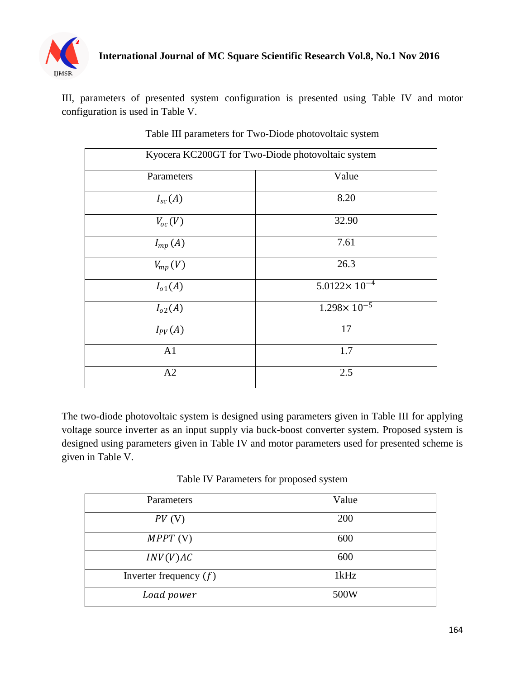

III, parameters of presented system configuration is presented using Table IV and motor configuration is used in Table V.

| Kyocera KC200GT for Two-Diode photovoltaic system |                         |  |  |
|---------------------------------------------------|-------------------------|--|--|
| Parameters                                        | Value                   |  |  |
| $I_{sc}(A)$                                       | 8.20                    |  |  |
| $V_{oc}(V)$                                       | 32.90                   |  |  |
| $I_{mp}(A)$                                       | 7.61                    |  |  |
| $V_{mp}(V)$                                       | 26.3                    |  |  |
| $I_{o1}(A)$                                       | $5.0122 \times 10^{-4}$ |  |  |
| $I_{o2}(A)$                                       | $1.298 \times 10^{-5}$  |  |  |
| $I_{PV}(A)$                                       | 17                      |  |  |
| A1                                                | 1.7                     |  |  |
| A2                                                | 2.5                     |  |  |

Table III parameters for Two-Diode photovoltaic system

The two-diode photovoltaic system is designed using parameters given in Table III for applying voltage source inverter as an input supply via buck-boost converter system. Proposed system is designed using parameters given in Table IV and motor parameters used for presented scheme is given in Table V.

Table IV Parameters for proposed system

| Parameters               | Value |
|--------------------------|-------|
| $PV$ (V)                 | 200   |
| $MPPT$ (V)               | 600   |
| INV(V)AC                 | 600   |
| Inverter frequency $(f)$ | 1kHz  |
| Load power               | 500W  |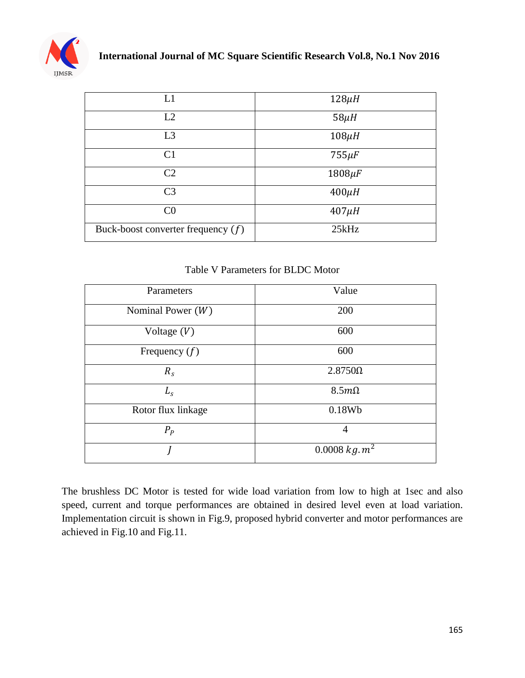

| L1                                   | $128\mu H$  |
|--------------------------------------|-------------|
| L2                                   | $58\mu$ H   |
| L3                                   | $108\mu H$  |
| C <sub>1</sub>                       | $755 \mu F$ |
| C <sub>2</sub>                       | $1808\mu F$ |
| C <sub>3</sub>                       | $400\mu H$  |
| CO                                   | $407\mu H$  |
| Buck-boost converter frequency $(f)$ | 25kHz       |

Table V Parameters for BLDC Motor

| Parameters          | Value                    |
|---------------------|--------------------------|
| Nominal Power $(W)$ | 200                      |
| Voltage $(V)$       | 600                      |
| Frequency $(f)$     | 600                      |
| $R_{s}$             | $2.8750\Omega$           |
| L <sub>s</sub>      | $8.5m\Omega$             |
| Rotor flux linkage  | 0.18Wb                   |
| $P_P$               | 4                        |
|                     | 0.0008 kg.m <sup>2</sup> |

The brushless DC Motor is tested for wide load variation from low to high at 1sec and also speed, current and torque performances are obtained in desired level even at load variation. Implementation circuit is shown in Fig.9, proposed hybrid converter and motor performances are achieved in Fig.10 and Fig.11.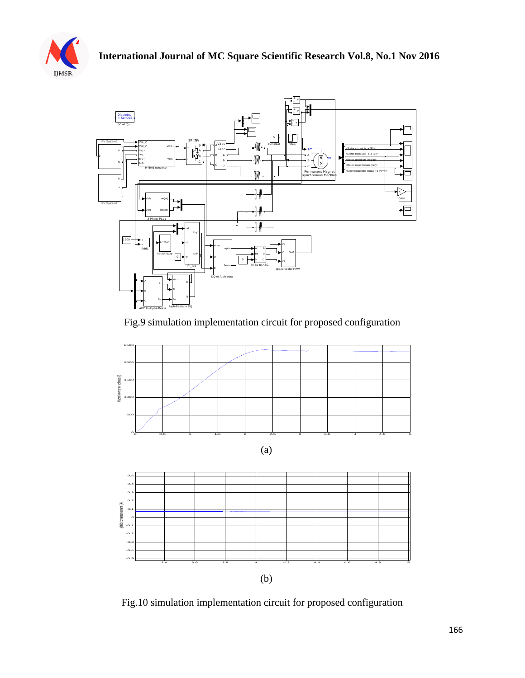



## Fig.9 simulation implementation circuit for proposed configuration





Fig.10 simulation implementation circuit for proposed configuration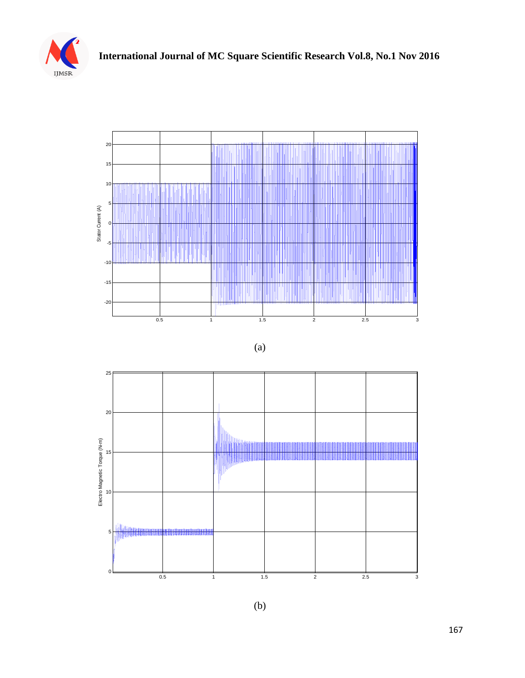





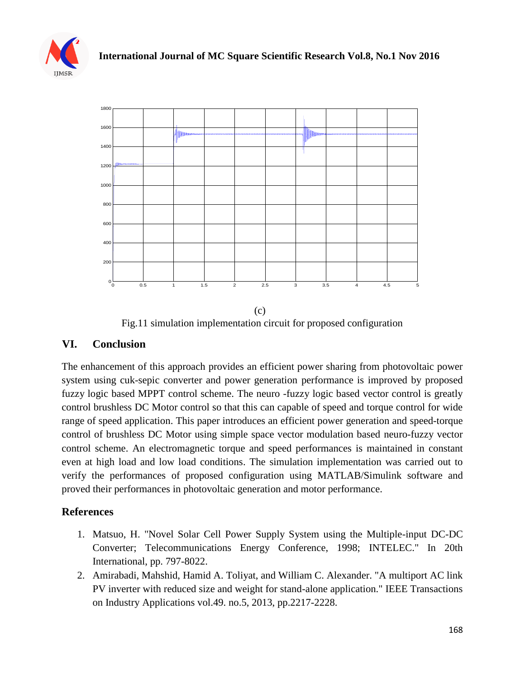



Fig.11 simulation implementation circuit for proposed configuration

## **VI. Conclusion**

The enhancement of this approach provides an efficient power sharing from photovoltaic power system using cuk-sepic converter and power generation performance is improved by proposed fuzzy logic based MPPT control scheme. The neuro -fuzzy logic based vector control is greatly control brushless DC Motor control so that this can capable of speed and torque control for wide range of speed application. This paper introduces an efficient power generation and speed-torque control of brushless DC Motor using simple space vector modulation based neuro-fuzzy vector control scheme. An electromagnetic torque and speed performances is maintained in constant even at high load and low load conditions. The simulation implementation was carried out to verify the performances of proposed configuration using MATLAB/Simulink software and proved their performances in photovoltaic generation and motor performance.

# **References**

- 1. Matsuo, H. "Novel Solar Cell Power Supply System using the Multiple-input DC-DC Converter; Telecommunications Energy Conference, 1998; INTELEC." In 20th International, pp. 797-8022.
- 2. Amirabadi, Mahshid, Hamid A. Toliyat, and William C. Alexander. "A multiport AC link PV inverter with reduced size and weight for stand-alone application." IEEE Transactions on Industry Applications vol.49. no.5, 2013, pp.2217-2228.